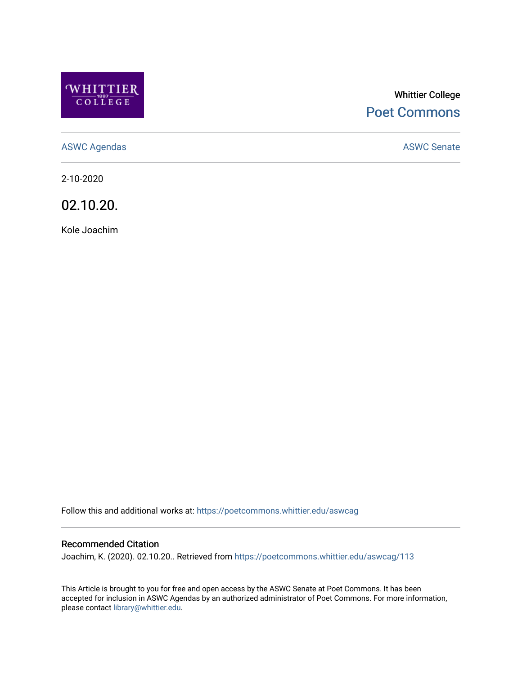

# Whittier College [Poet Commons](https://poetcommons.whittier.edu/)

[ASWC Agendas](https://poetcommons.whittier.edu/aswcag) **ASWC Senate** 

2-10-2020

02.10.20.

Kole Joachim

Follow this and additional works at: [https://poetcommons.whittier.edu/aswcag](https://poetcommons.whittier.edu/aswcag?utm_source=poetcommons.whittier.edu%2Faswcag%2F113&utm_medium=PDF&utm_campaign=PDFCoverPages) 

# Recommended Citation

Joachim, K. (2020). 02.10.20.. Retrieved from [https://poetcommons.whittier.edu/aswcag/113](https://poetcommons.whittier.edu/aswcag/113?utm_source=poetcommons.whittier.edu%2Faswcag%2F113&utm_medium=PDF&utm_campaign=PDFCoverPages) 

This Article is brought to you for free and open access by the ASWC Senate at Poet Commons. It has been accepted for inclusion in ASWC Agendas by an authorized administrator of Poet Commons. For more information, please contact [library@whittier.edu](mailto:library@whittier.edu).